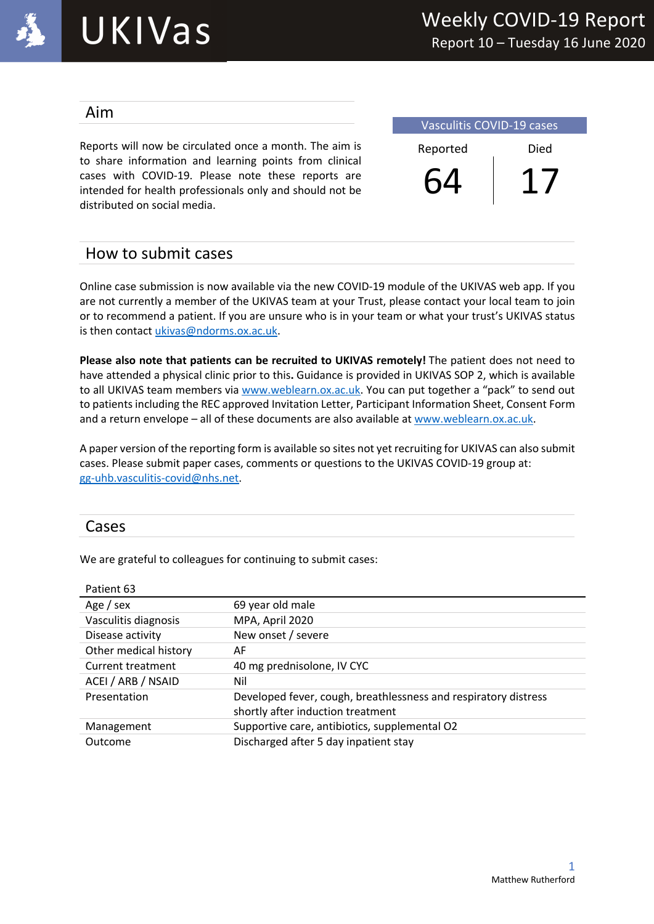

#### Aim

Reports will now be circulated once a month. The aim is to share information and learning points from clinical cases with COVID-19. Please note these reports are intended for health professionals only and should not be distributed on social media.

Vasculitis COVID-19 cases Reported Died 64 17

## How to submit cases

Online case submission is now available via the new COVID-19 module of the UKIVAS web app. If you are not currently a member of the UKIVAS team at your Trust, please contact your local team to join or to recommend a patient. If you are unsure who is in your team or what your trust's UKIVAS status is then contact ukivas@ndorms.ox.ac.uk.

**Please also note that patients can be recruited to UKIVAS remotely!** The patient does not need to have attended a physical clinic prior to this**.** Guidance is provided in UKIVAS SOP 2, which is available to all UKIVAS team members via www.weblearn.ox.ac.uk. You can put together a "pack" to send out to patients including the REC approved Invitation Letter, Participant Information Sheet, Consent Form and a return envelope – all of these documents are also available at www.weblearn.ox.ac.uk.

A paper version of the reporting form is available so sites not yet recruiting for UKIVAS can also submit cases. Please submit paper cases, comments or questions to the UKIVAS COVID-19 group at: gg-uhb.vasculitis-covid@nhs.net.

### Cases

We are grateful to colleagues for continuing to submit cases:

| Patient 63               |                                                                 |
|--------------------------|-----------------------------------------------------------------|
| Age / sex                | 69 year old male                                                |
| Vasculitis diagnosis     | MPA, April 2020                                                 |
| Disease activity         | New onset / severe                                              |
| Other medical history    | AF                                                              |
| <b>Current treatment</b> | 40 mg prednisolone, IV CYC                                      |
| ACEI / ARB / NSAID       | Nil                                                             |
| Presentation             | Developed fever, cough, breathlessness and respiratory distress |
|                          | shortly after induction treatment                               |
| Management               | Supportive care, antibiotics, supplemental O2                   |
| Outcome                  | Discharged after 5 day inpatient stay                           |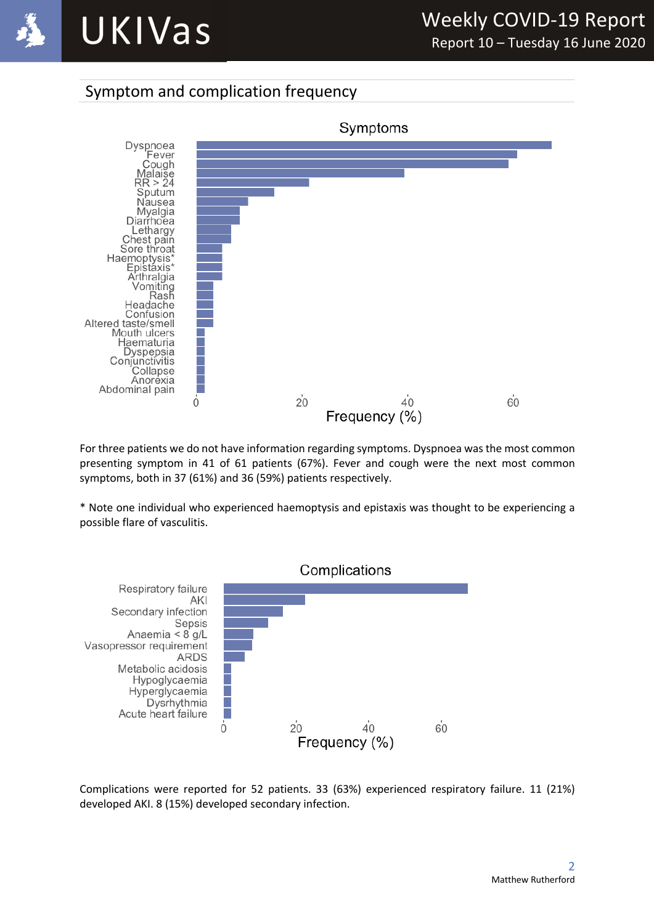

## Symptom and complication frequency



For three patients we do not have information regarding symptoms. Dyspnoea was the most common presenting symptom in 41 of 61 patients (67%). Fever and cough were the next most common symptoms, both in 37 (61%) and 36 (59%) patients respectively.

\* Note one individual who experienced haemoptysis and epistaxis was thought to be experiencing a possible flare of vasculitis.



Complications were reported for 52 patients. 33 (63%) experienced respiratory failure. 11 (21%) developed AKI. 8 (15%) developed secondary infection.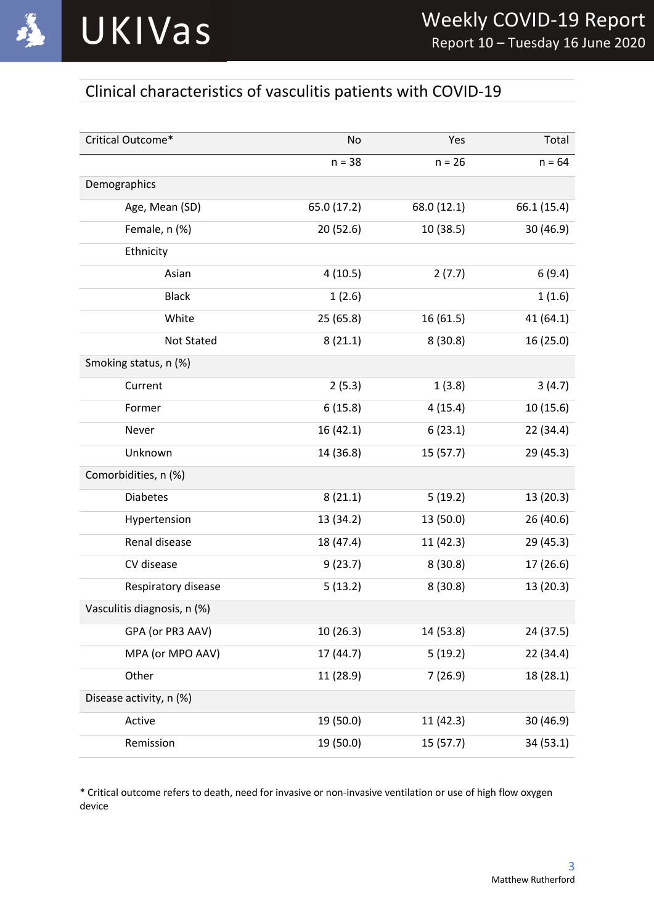

## Clinical characteristics of vasculitis patients with COVID-19

| Critical Outcome*           | No          | Yes         | Total       |
|-----------------------------|-------------|-------------|-------------|
|                             | $n = 38$    | $n = 26$    | $n = 64$    |
| Demographics                |             |             |             |
| Age, Mean (SD)              | 65.0 (17.2) | 68.0 (12.1) | 66.1 (15.4) |
| Female, n (%)               | 20 (52.6)   | 10 (38.5)   | 30 (46.9)   |
| Ethnicity                   |             |             |             |
| Asian                       | 4(10.5)     | 2(7.7)      | 6(9.4)      |
| <b>Black</b>                | 1(2.6)      |             | 1(1.6)      |
| White                       | 25(65.8)    | 16 (61.5)   | 41 (64.1)   |
| Not Stated                  | 8(21.1)     | 8(30.8)     | 16 (25.0)   |
| Smoking status, n (%)       |             |             |             |
| Current                     | 2(5.3)      | 1(3.8)      | 3(4.7)      |
| Former                      | 6(15.8)     | 4(15.4)     | 10(15.6)    |
| Never                       | 16(42.1)    | 6(23.1)     | 22 (34.4)   |
| Unknown                     | 14 (36.8)   | 15 (57.7)   | 29 (45.3)   |
| Comorbidities, n (%)        |             |             |             |
| <b>Diabetes</b>             | 8(21.1)     | 5(19.2)     | 13 (20.3)   |
| Hypertension                | 13 (34.2)   | 13 (50.0)   | 26 (40.6)   |
| Renal disease               | 18 (47.4)   | 11(42.3)    | 29 (45.3)   |
| CV disease                  | 9(23.7)     | 8(30.8)     | 17 (26.6)   |
| Respiratory disease         | 5(13.2)     | 8(30.8)     | 13 (20.3)   |
| Vasculitis diagnosis, n (%) |             |             |             |
| GPA (or PR3 AAV)            | 10(26.3)    | 14 (53.8)   | 24 (37.5)   |
| MPA (or MPO AAV)            | 17 (44.7)   | 5(19.2)     | 22 (34.4)   |
| Other                       | 11 (28.9)   | 7(26.9)     | 18 (28.1)   |
| Disease activity, n (%)     |             |             |             |
| Active                      | 19 (50.0)   | 11(42.3)    | 30 (46.9)   |
| Remission                   | 19 (50.0)   | 15 (57.7)   | 34 (53.1)   |

\* Critical outcome refers to death, need for invasive or non-invasive ventilation or use of high flow oxygen device